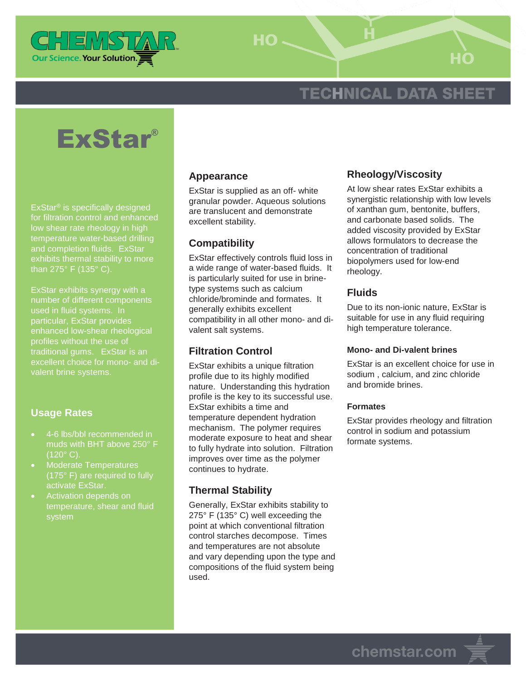

 $HO -$ 

## **TECHNICAL DATA SHEET**

# ExStar®

ExStar® is specifically designed for filtration control and enhanced low shear rate rheology in high temperature water-based drilling and completion fluids. ExStar exhibits thermal stability to more

ExStar exhibits synergy with a number of different components used in fluid systems. In particular, ExStar provides enhanced low-shear rheological profiles without the use of traditional gums. ExStar is an excellent choice for mono- and di-

#### **Usage Rates**

- 4-6 lbs/bbl recommended in muds with BHT above 250° F  $(120^{\circ} C)$ .
- Moderate Temperatures (175° F) are required to fully activate ExStar.
- Activation depends on temperature, shear and fluid

#### **Appearance**

ExStar is supplied as an off- white granular powder. Aqueous solutions are translucent and demonstrate excellent stability.

#### **Compatibility**

ExStar effectively controls fluid loss in a wide range of water-based fluids. It is particularly suited for use in brinetype systems such as calcium chloride/brominde and formates. It generally exhibits excellent compatibility in all other mono- and divalent salt systems.

#### **Filtration Control**

ExStar exhibits a unique filtration profile due to its highly modified nature. Understanding this hydration profile is the key to its successful use. ExStar exhibits a time and temperature dependent hydration mechanism. The polymer requires moderate exposure to heat and shear to fully hydrate into solution. Filtration improves over time as the polymer continues to hydrate.

#### **Thermal Stability**

Generally, ExStar exhibits stability to 275° F (135° C) well exceeding the point at which conventional filtration control starches decompose. Times and temperatures are not absolute and vary depending upon the type and compositions of the fluid system being used.

#### **Rheology/Viscosity**

At low shear rates ExStar exhibits a synergistic relationship with low levels of xanthan gum, bentonite, buffers, and carbonate based solids. The added viscosity provided by ExStar allows formulators to decrease the concentration of traditional biopolymers used for low-end rheology.

#### **Fluids**

Due to its non-ionic nature, ExStar is suitable for use in any fluid requiring high temperature tolerance.

#### **Mono- and Di-valent brines**

ExStar is an excellent choice for use in sodium , calcium, and zinc chloride and bromide brines.

#### **Formates**

ExStar provides rheology and filtration control in sodium and potassium formate systems.